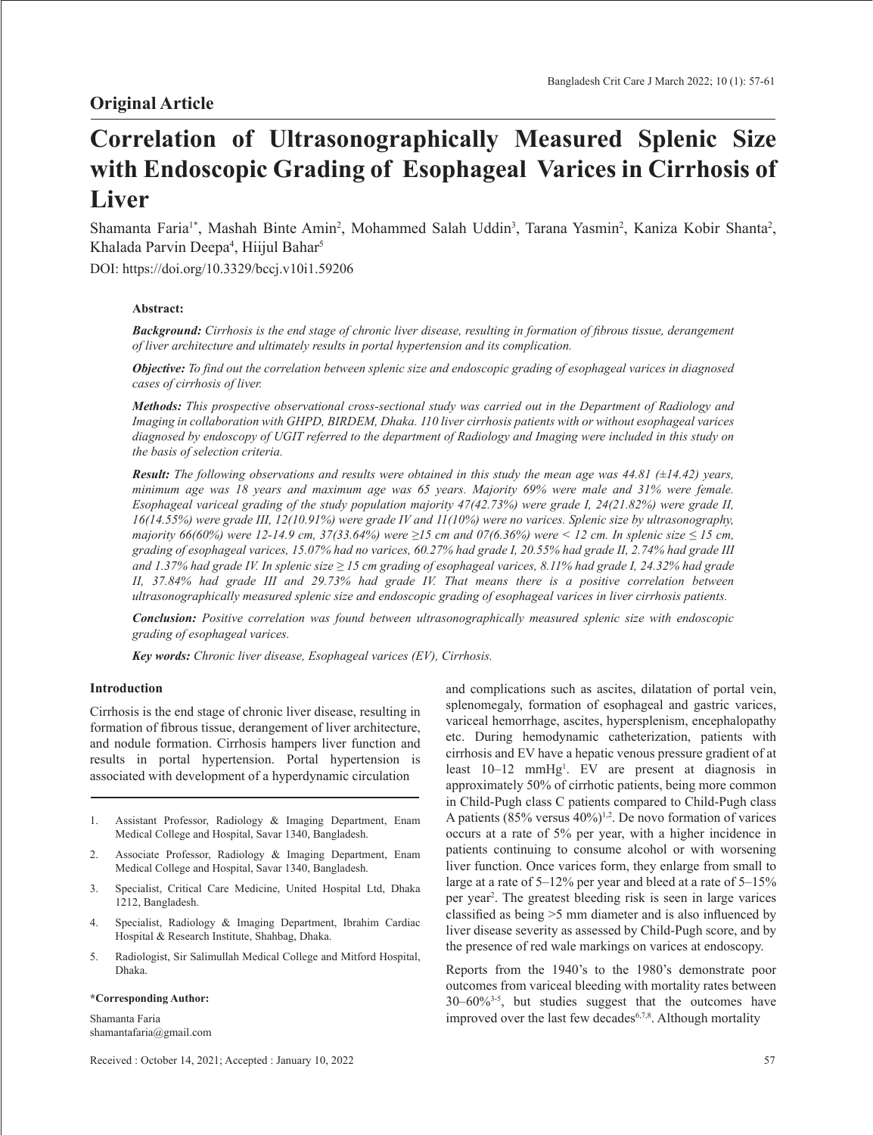# **Correlation of Ultrasonographically Measured Splenic Size with Endoscopic Grading of Esophageal Varices in Cirrhosis of Liver**

Shamanta Faria<sup>1\*</sup>, Mashah Binte Amin<sup>2</sup>, Mohammed Salah Uddin<sup>3</sup>, Tarana Yasmin<sup>2</sup>, Kaniza Kobir Shanta<sup>2</sup>, Khalada Parvin Deepa<sup>4</sup>, Hiijul Bahar<sup>5</sup>

DOI: https://doi.org/10.3329/bccj.v10i1.59206

## **Abstract:**

Background: Cirrhosis is the end stage of chronic liver disease, resulting in formation of fibrous tissue, derangement *of liver architecture and ultimately results in portal hypertension and its complication.*

**Objective:** To find out the correlation between splenic size and endoscopic grading of esophageal varices in diagnosed *cases of cirrhosis of liver.*

*Methods: This prospective observational cross-sectional study was carried out in the Department of Radiology and Imaging in collaboration with GHPD, BIRDEM, Dhaka. 110 liver cirrhosis patients with or without esophageal varices* diagnosed by endoscopy of UGIT referred to the department of Radiology and Imaging were included in this study on *the basis of selection criteria.* 

**Result:** The following observations and results were obtained in this study the mean age was 44.81 ( $\pm$ 14.42) years, minimum age was 18 years and maximum age was 65 years. Majority 69% were male and 31% were female. *Esophageal variceal grading of the study population majority 47(42.73%) were grade I, 24(21.82%) were grade II, 16(14.55%) were grade III, 12(10.91%) were grade IV and 11(10%) were no varices. Splenic size by ultrasonography, majority*  $66(60%)$  were  $12-14.9$  *cm,*  $37(33.64%)$  were  $\geq 15$  *cm and*  $07(6.36%)$  were  $\leq 12$  *cm. In splenic size*  $\leq 15$  *cm,* grading of esophageal varices, 15.07% had no varices, 60.27% had grade I, 20.55% had grade II, 2.74% had grade III and 1.37% had grade IV. In splenic size  $\geq$  15 cm grading of esophageal varices, 8.11% had grade I, 24.32% had grade *II, 37.84% had grade III and 29.73% had grade IV. That means there is a positive correlation between ultrasonographically measured splenic size and endoscopic grading of esophageal varices in liver cirrhosis patients.*

*Conclusion: Positive correlation was found between ultrasonographically measured splenic size with endoscopic grading of esophageal varices.* 

*Key words: Chronic liver disease, Esophageal varices (EV), Cirrhosis.* 

## **Introduction**

Cirrhosis is the end stage of chronic liver disease, resulting in formation of fibrous tissue, derangement of liver architecture, and nodule formation. Cirrhosis hampers liver function and results in portal hypertension. Portal hypertension is associated with development of a hyperdynamic circulation

- 1. Assistant Professor, Radiology & Imaging Department, Enam Medical College and Hospital, Savar 1340, Bangladesh.
- 2. Associate Professor, Radiology & Imaging Department, Enam Medical College and Hospital, Savar 1340, Bangladesh.
- 3. Specialist, Critical Care Medicine, United Hospital Ltd, Dhaka 1212, Bangladesh.
- 4. Specialist, Radiology & Imaging Department, Ibrahim Cardiac Hospital & Research Institute, Shahbag, Dhaka.
- 5. Radiologist, Sir Salimullah Medical College and Mitford Hospital, Dhaka.

#### **\*Corresponding Author:**

Shamanta Faria shamantafaria@gmail.com and complications such as ascites, dilatation of portal vein, splenomegaly, formation of esophageal and gastric varices, variceal hemorrhage, ascites, hypersplenism, encephalopathy etc. During hemodynamic catheterization, patients with cirrhosis and EV have a hepatic venous pressure gradient of at least 10–12 mmHg1 . EV are present at diagnosis in approximately 50% of cirrhotic patients, being more common in Child-Pugh class C patients compared to Child-Pugh class A patients (85% versus 40%) 1,2. De novo formation of varices occurs at a rate of 5% per year, with a higher incidence in patients continuing to consume alcohol or with worsening liver function. Once varices form, they enlarge from small to large at a rate of 5–12% per year and bleed at a rate of 5–15% per year<sup>2</sup>. The greatest bleeding risk is seen in large varices classified as being >5 mm diameter and is also influenced by liver disease severity as assessed by Child-Pugh score, and by the presence of red wale markings on varices at endoscopy.

Reports from the 1940's to the 1980's demonstrate poor outcomes from variceal bleeding with mortality rates between 30–60%3-5 , but studies suggest that the outcomes have improved over the last few decades<sup>6,7,8</sup>. Although mortality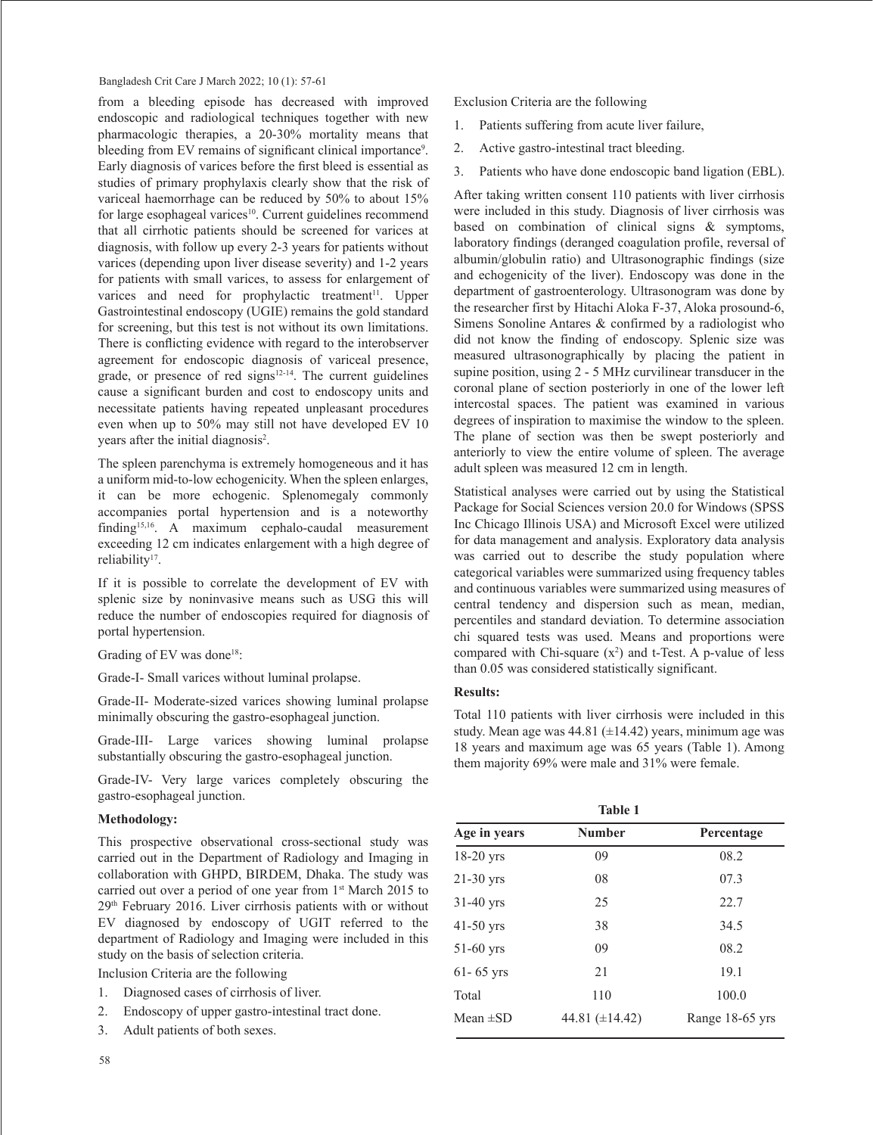## Bangladesh Crit Care J March 2022; 10 (1): 57-61

from a bleeding episode has decreased with improved endoscopic and radiological techniques together with new pharmacologic therapies, a 20-30% mortality means that bleeding from EV remains of significant clinical importance<sup>9</sup>. Early diagnosis of varices before the first bleed is essential as studies of primary prophylaxis clearly show that the risk of variceal haemorrhage can be reduced by 50% to about 15% for large esophageal varices<sup>10</sup>. Current guidelines recommend that all cirrhotic patients should be screened for varices at diagnosis, with follow up every 2-3 years for patients without varices (depending upon liver disease severity) and 1-2 years for patients with small varices, to assess for enlargement of varices and need for prophylactic treatment<sup>11</sup>. Upper Gastrointestinal endoscopy (UGIE) remains the gold standard for screening, but this test is not without its own limitations. There is conflicting evidence with regard to the interobserver agreement for endoscopic diagnosis of variceal presence, grade, or presence of red signs $12-14$ . The current guidelines cause a significant burden and cost to endoscopy units and necessitate patients having repeated unpleasant procedures even when up to 50% may still not have developed EV 10 years after the initial diagnosis<sup>2</sup>.

The spleen parenchyma is extremely homogeneous and it has a uniform mid-to-low echogenicity. When the spleen enlarges, it can be more echogenic. Splenomegaly commonly accompanies portal hypertension and is a noteworthy finding<sup>15,16</sup>. A maximum cephalo-caudal measurement exceeding 12 cm indicates enlargement with a high degree of reliability<sup>17</sup>.

If it is possible to correlate the development of EV with splenic size by noninvasive means such as USG this will reduce the number of endoscopies required for diagnosis of portal hypertension.

Grading of EV was done<sup>18</sup>:

Grade-I- Small varices without luminal prolapse.

Grade-II- Moderate-sized varices showing luminal prolapse minimally obscuring the gastro-esophageal junction.

Grade-III- Large varices showing luminal prolapse substantially obscuring the gastro-esophageal junction.

Grade-IV- Very large varices completely obscuring the gastro-esophageal junction.

#### **Methodology:**

This prospective observational cross-sectional study was carried out in the Department of Radiology and Imaging in collaboration with GHPD, BIRDEM, Dhaka. The study was carried out over a period of one year from 1st March 2015 to 29th February 2016. Liver cirrhosis patients with or without EV diagnosed by endoscopy of UGIT referred to the department of Radiology and Imaging were included in this study on the basis of selection criteria.

Inclusion Criteria are the following

- 1. Diagnosed cases of cirrhosis of liver.
- 2. Endoscopy of upper gastro-intestinal tract done.
- 3. Adult patients of both sexes.

Exclusion Criteria are the following

- 1. Patients suffering from acute liver failure,
- 2. Active gastro-intestinal tract bleeding.
- 3. Patients who have done endoscopic band ligation (EBL).

After taking written consent 110 patients with liver cirrhosis were included in this study. Diagnosis of liver cirrhosis was based on combination of clinical signs & symptoms, laboratory findings (deranged coagulation profile, reversal of albumin/globulin ratio) and Ultrasonographic findings (size and echogenicity of the liver). Endoscopy was done in the department of gastroenterology. Ultrasonogram was done by the researcher first by Hitachi Aloka F-37, Aloka prosound-6, Simens Sonoline Antares & confirmed by a radiologist who did not know the finding of endoscopy. Splenic size was measured ultrasonographically by placing the patient in supine position, using 2 - 5 MHz curvilinear transducer in the coronal plane of section posteriorly in one of the lower left intercostal spaces. The patient was examined in various degrees of inspiration to maximise the window to the spleen. The plane of section was then be swept posteriorly and anteriorly to view the entire volume of spleen. The average adult spleen was measured 12 cm in length.

Statistical analyses were carried out by using the Statistical Package for Social Sciences version 20.0 for Windows (SPSS Inc Chicago Illinois USA) and Microsoft Excel were utilized for data management and analysis. Exploratory data analysis was carried out to describe the study population where categorical variables were summarized using frequency tables and continuous variables were summarized using measures of central tendency and dispersion such as mean, median, percentiles and standard deviation. To determine association chi squared tests was used. Means and proportions were compared with Chi-square  $(x^2)$  and t-Test. A p-value of less than 0.05 was considered statistically significant.

## **Results:**

Total 110 patients with liver cirrhosis were included in this study. Mean age was  $44.81$  ( $\pm$ 14.42) years, minimum age was 18 years and maximum age was 65 years (Table 1). Among them majority 69% were male and 31% were female.

| <b>Table 1</b>                              |                     |                 |  |  |
|---------------------------------------------|---------------------|-----------------|--|--|
| <b>Number</b><br>Age in years<br>Percentage |                     |                 |  |  |
| 18-20 yrs                                   | 09                  | 08.2            |  |  |
| $21-30$ yrs                                 | 08                  | 07.3            |  |  |
| $31-40$ yrs                                 | 25                  | 22.7            |  |  |
| $41-50$ yrs                                 | 38                  | 34.5            |  |  |
| 51-60 yrs                                   | 09                  | 08.2            |  |  |
| $61 - 65$ yrs                               | 21                  | 19.1            |  |  |
| Total                                       | 110                 | 100.0           |  |  |
| Mean $\pm SD$                               | 44.81 $(\pm 14.42)$ | Range 18-65 yrs |  |  |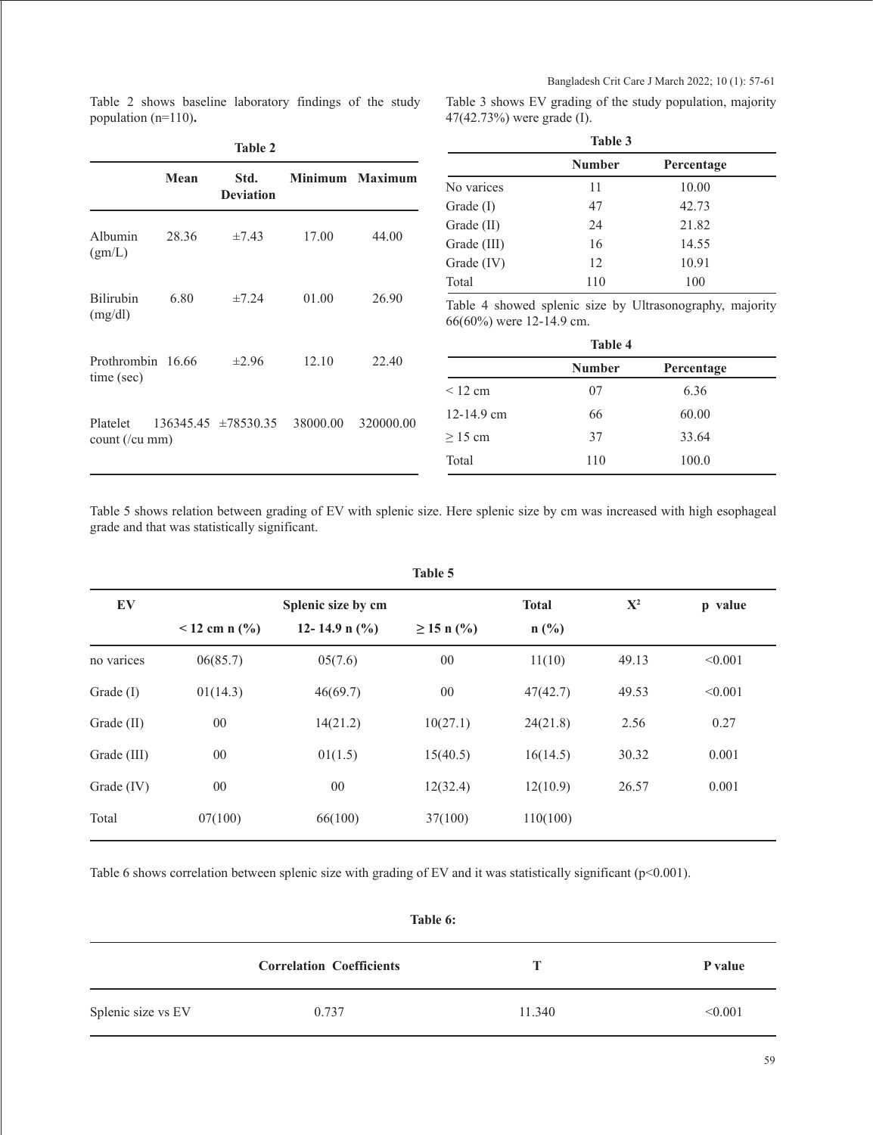Table 2 shows baseline laboratory findings of the study population (n=110)**.** 

Table 3 shows EV grading of the study population, majority 47(42.73%) were grade (I).

| <b>Table 2</b>                  |       |                          |          |                 |
|---------------------------------|-------|--------------------------|----------|-----------------|
|                                 | Mean  | Std.<br><b>Deviation</b> |          | Minimum Maximum |
| Albumin<br>(gm/L)               | 28.36 | $\pm 7.43$               | 17.00    | 44.00           |
| <b>Bilirubin</b><br>(mg/dl)     | 6.80  | $\pm 7.24$               | 01.00    | 26.90           |
| Prothrombin 16.66<br>time (sec) |       | $\pm 2.96$               | 12.10    | 22.40           |
| Platelet<br>$count$ (/ $cu$ mm) |       | $136345.45 \pm 78530.35$ | 38000.00 | 320000.00       |

| Table 3      |               |            |  |  |
|--------------|---------------|------------|--|--|
|              | <b>Number</b> | Percentage |  |  |
| No varices   | 11            | 10.00      |  |  |
| Grade $(I)$  | 47            | 42.73      |  |  |
| Grade (II)   | 24            | 21.82      |  |  |
| Grade (III)  | 16            | 14.55      |  |  |
| Grade $(IV)$ | 12            | 10.91      |  |  |
| Total        | 110           | 100        |  |  |

Table 4 showed splenic size by Ultrasonography, majority 66(60%) were 12-14.9 cm.

| <b>Table 4</b> |               |            |  |  |
|----------------|---------------|------------|--|--|
|                | <b>Number</b> | Percentage |  |  |
| < 12 cm        | 07            | 6.36       |  |  |
| $12 - 14.9$ cm | 66            | 60.00      |  |  |
| $>15$ cm       | 37            | 33.64      |  |  |
| Total          | 110           | 100.0      |  |  |

Table 5 shows relation between grading of EV with splenic size. Here splenic size by cm was increased with high esophageal grade and that was statistically significant.

| Table 5     |                                      |                   |                 |              |             |         |
|-------------|--------------------------------------|-------------------|-----------------|--------------|-------------|---------|
| EV          | Splenic size by cm                   |                   |                 | <b>Total</b> | ${\bf X}^2$ | p value |
|             | $12$ cm n $\left(\frac{0}{0}\right)$ | 12-14.9 n $(\%$ ) | $\geq$ 15 n (%) | $n$ (%)      |             |         |
| no varices  | 06(85.7)                             | 05(7.6)           | $00\,$          | 11(10)       | 49.13       | < 0.001 |
| Grade $(I)$ | 01(14.3)                             | 46(69.7)          | $00\,$          | 47(42.7)     | 49.53       | < 0.001 |
| Grade (II)  | $00\,$                               | 14(21.2)          | 10(27.1)        | 24(21.8)     | 2.56        | 0.27    |
| Grade (III) | $00\,$                               | 01(1.5)           | 15(40.5)        | 16(14.5)     | 30.32       | 0.001   |
| Grade (IV)  | $00\,$                               | $00\,$            | 12(32.4)        | 12(10.9)     | 26.57       | 0.001   |
| Total       | 07(100)                              | 66(100)           | 37(100)         | 110(100)     |             |         |

Table 6 shows correlation between splenic size with grading of EV and it was statistically significant ( $p<0.001$ ).

| Table 6:           |                                 |        |         |  |
|--------------------|---------------------------------|--------|---------|--|
|                    | <b>Correlation Coefficients</b> |        | P value |  |
| Splenic size vs EV | 0.737                           | 11.340 | < 0.001 |  |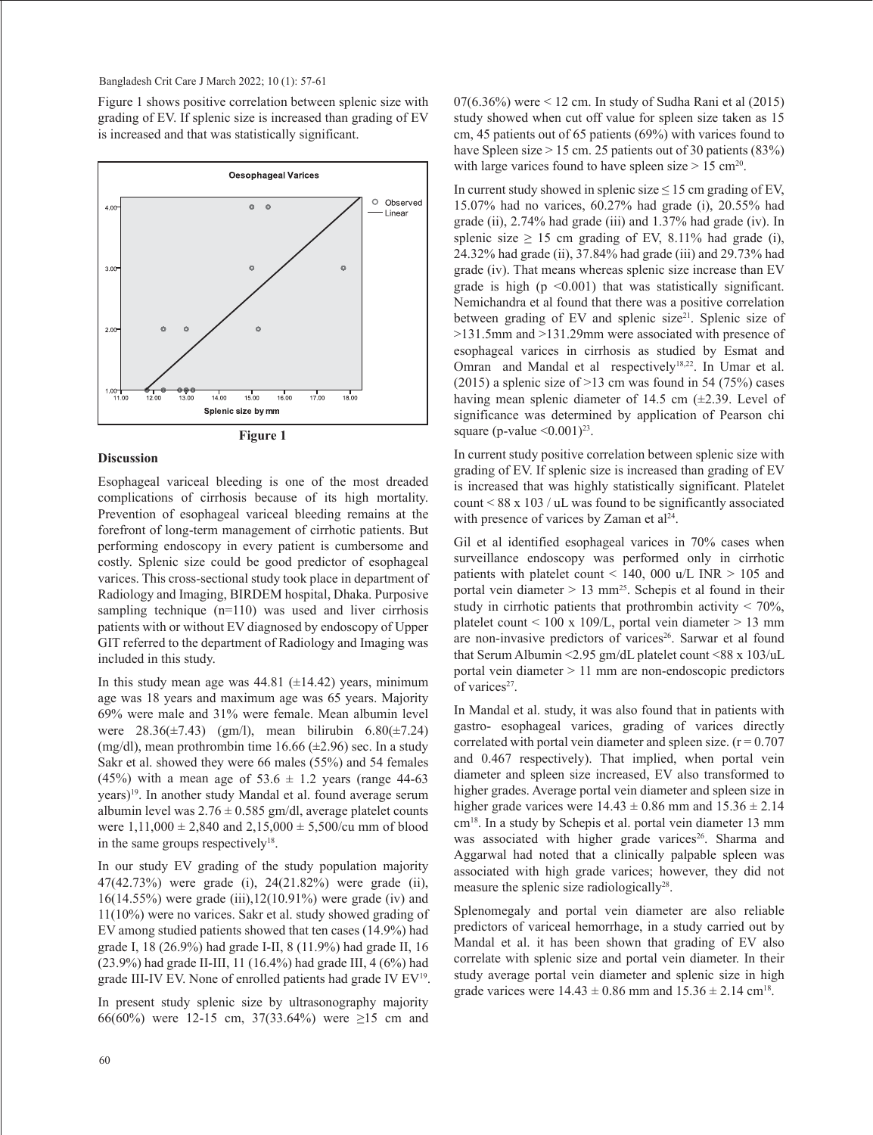Figure 1 shows positive correlation between splenic size with grading of EV. If splenic size is increased than grading of EV is increased and that was statistically significant.





#### **Discussion**

Esophageal variceal bleeding is one of the most dreaded complications of cirrhosis because of its high mortality. Prevention of esophageal variceal bleeding remains at the forefront of long-term management of cirrhotic patients. But performing endoscopy in every patient is cumbersome and costly. Splenic size could be good predictor of esophageal varices. This cross-sectional study took place in department of Radiology and Imaging, BIRDEM hospital, Dhaka. Purposive sampling technique (n=110) was used and liver cirrhosis patients with or without EV diagnosed by endoscopy of Upper GIT referred to the department of Radiology and Imaging was included in this study.

In this study mean age was  $44.81$  ( $\pm$ 14.42) years, minimum age was 18 years and maximum age was 65 years. Majority 69% were male and 31% were female. Mean albumin level were  $28.36(\pm 7.43)$  (gm/l), mean bilirubin  $6.80(\pm 7.24)$ (mg/dl), mean prothrombin time 16.66  $(\pm 2.96)$  sec. In a study Sakr et al. showed they were 66 males (55%) and 54 females (45%) with a mean age of  $53.6 \pm 1.2$  years (range 44-63) years) 19. In another study Mandal et al. found average serum albumin level was  $2.76 \pm 0.585$  gm/dl, average platelet counts were  $1,11,000 \pm 2,840$  and  $2,15,000 \pm 5,500$ /cu mm of blood in the same groups respectively $18$ .

In our study EV grading of the study population majority 47(42.73%) were grade (i), 24(21.82%) were grade (ii), 16(14.55%) were grade (iii),12(10.91%) were grade (iv) and 11(10%) were no varices. Sakr et al. study showed grading of EV among studied patients showed that ten cases (14.9%) had grade I, 18 (26.9%) had grade I-II, 8 (11.9%) had grade II, 16 (23.9%) had grade II-III, 11 (16.4%) had grade III, 4 (6%) had grade III-IV EV. None of enrolled patients had grade IV EV19.

In present study splenic size by ultrasonography majority 66(60%) were 12-15 cm, 37(33.64%) were  $\geq$ 15 cm and  $07(6.36\%)$  were  $\leq 12$  cm. In study of Sudha Rani et al  $(2015)$ study showed when cut off value for spleen size taken as 15 cm, 45 patients out of 65 patients (69%) with varices found to have Spleen size  $> 15$  cm. 25 patients out of 30 patients (83%) with large varices found to have spleen size  $> 15$  cm<sup>20</sup>.

In current study showed in splenic size  $\leq 15$  cm grading of EV, 15.07% had no varices, 60.27% had grade (i), 20.55% had grade (ii), 2.74% had grade (iii) and 1.37% had grade (iv). In splenic size  $\geq$  15 cm grading of EV, 8.11% had grade (i), 24.32% had grade (ii), 37.84% had grade (iii) and 29.73% had grade (iv). That means whereas splenic size increase than EV grade is high  $(p \le 0.001)$  that was statistically significant. Nemichandra et al found that there was a positive correlation between grading of EV and splenic size<sup>21</sup>. Splenic size of >131.5mm and >131.29mm were associated with presence of esophageal varices in cirrhosis as studied by Esmat and Omran and Mandal et al respectively<sup>18,22</sup>. In Umar et al. (2015) a splenic size of  $>13$  cm was found in 54 (75%) cases having mean splenic diameter of 14.5 cm (±2.39. Level of significance was determined by application of Pearson chi square (p-value  $\leq 0.001$ )<sup>23</sup>.

In current study positive correlation between splenic size with grading of EV. If splenic size is increased than grading of EV is increased that was highly statistically significant. Platelet count  $\leq 88$  x 103 / uL was found to be significantly associated with presence of varices by Zaman et  $al<sup>24</sup>$ .

Gil et al identified esophageal varices in 70% cases when surveillance endoscopy was performed only in cirrhotic patients with platelet count  $<$  140, 000 u/L INR  $>$  105 and portal vein diameter  $> 13$  mm<sup>25</sup>. Schepis et al found in their study in cirrhotic patients that prothrombin activity < 70%, platelet count < 100 x 109/L, portal vein diameter > 13 mm are non-invasive predictors of varices<sup>26</sup>. Sarwar et al found that Serum Albumin <2.95 gm/dL platelet count <88 x 103/uL portal vein diameter > 11 mm are non-endoscopic predictors of varices<sup>27</sup>.

In Mandal et al. study, it was also found that in patients with gastro- esophageal varices, grading of varices directly correlated with portal vein diameter and spleen size.  $(r = 0.707)$ and 0.467 respectively). That implied, when portal vein diameter and spleen size increased, EV also transformed to higher grades. Average portal vein diameter and spleen size in higher grade varices were  $14.43 \pm 0.86$  mm and  $15.36 \pm 2.14$ cm18. In a study by Schepis et al. portal vein diameter 13 mm was associated with higher grade varices<sup>26</sup>. Sharma and Aggarwal had noted that a clinically palpable spleen was associated with high grade varices; however, they did not measure the splenic size radiologically<sup>28</sup>.

Splenomegaly and portal vein diameter are also reliable predictors of variceal hemorrhage, in a study carried out by Mandal et al. it has been shown that grading of EV also correlate with splenic size and portal vein diameter. In their study average portal vein diameter and splenic size in high grade varices were  $14.43 \pm 0.86$  mm and  $15.36 \pm 2.14$  cm<sup>18</sup>.